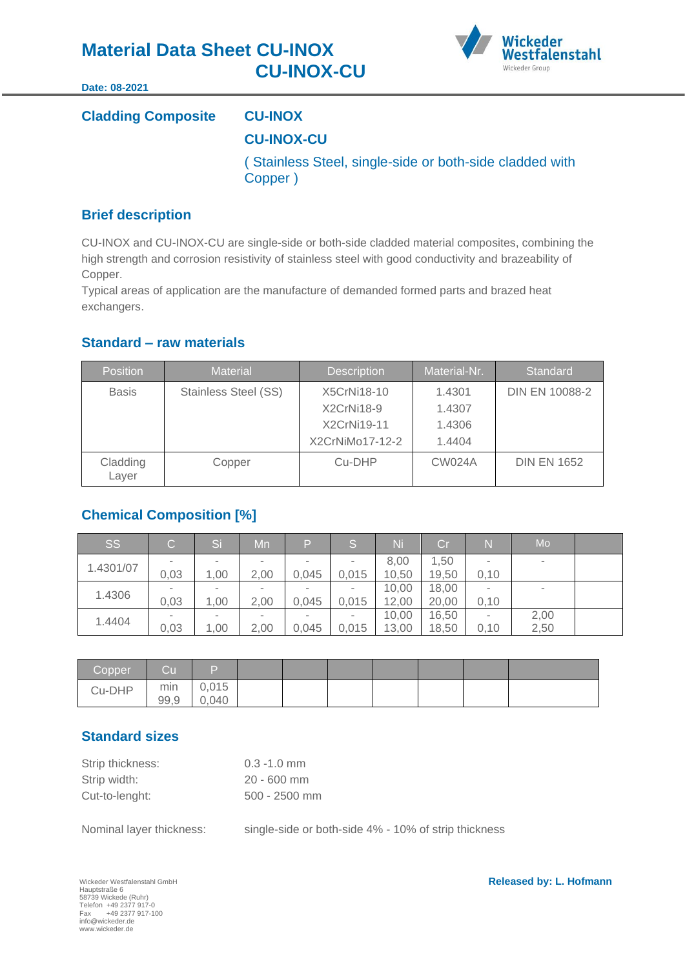

#### **Date: 08-2021**

# **Cladding Composite CU-INOX CU-INOX-CU** ( Stainless Steel, single-side or both-side cladded with Copper )

# **Brief description**

CU-INOX and CU-INOX-CU are single-side or both-side cladded material composites, combining the high strength and corrosion resistivity of stainless steel with good conductivity and brazeability of Copper.

Typical areas of application are the manufacture of demanded formed parts and brazed heat exchangers.

# **Standard – raw materials**

| <b>Position</b>   | <b>Material</b>             | <b>Description</b> | Material-Nr.  | Standard           |
|-------------------|-----------------------------|--------------------|---------------|--------------------|
| <b>Basis</b>      | <b>Stainless Steel (SS)</b> | X5CrNi18-10        | 1.4301        | DIN EN 10088-2     |
|                   |                             | X2CrNi18-9         | 1.4307        |                    |
|                   |                             | X2CrNi19-11        | 1.4306        |                    |
|                   |                             | X2CrNiMo17-12-2    | 1.4404        |                    |
| Cladding<br>Layer | Copper                      | Cu-DHP             | <b>CW024A</b> | <b>DIN EN 1652</b> |

# **Chemical Composition [%]**

| Issi      | $\rm C$ . | <b>Si</b> | Mn                       | P      | S      | Ni    | Cr    | $\mathsf{N}$             | Mo                       |  |
|-----------|-----------|-----------|--------------------------|--------|--------|-------|-------|--------------------------|--------------------------|--|
|           |           | -         |                          | $\sim$ |        | 8,00  | 1,50  | ۰                        | $\overline{\phantom{a}}$ |  |
| 1.4301/07 | 0,03      | 1,00      | 2,00                     | 0,045  | 0,015  | 10,50 | 19,50 | 0,10                     |                          |  |
|           |           |           | $\overline{\phantom{a}}$ |        |        | 10,00 | 18,00 | $\overline{\phantom{a}}$ |                          |  |
| 1.4306    | 0,03      | 1,00      | 2,00                     | 0,045  | 0,015  | 12,00 | 20,00 | 0,10                     |                          |  |
| 1.4404    |           | $\sim$    |                          | $\sim$ | $\sim$ | 10,00 | 16,50 |                          | 2,00                     |  |
|           | 0,03      | 1,00      | 2,00                     | 0,045  | 0,015  | 13,00 | 18,50 | 0,10                     | 2,50                     |  |

| Copper | Cu          | ۱            |  |  |  |  |
|--------|-------------|--------------|--|--|--|--|
| Cu-DHP | min<br>99,9 | 0,015<br>040 |  |  |  |  |

# **Standard sizes**

| Strip thickness: | $0.3 - 1.0$ mm  |
|------------------|-----------------|
| Strip width:     | $20 - 600$ mm   |
| Cut-to-lenght:   | $500 - 2500$ mm |

Nominal layer thickness: single-side or both-side 4% - 10% of strip thickness